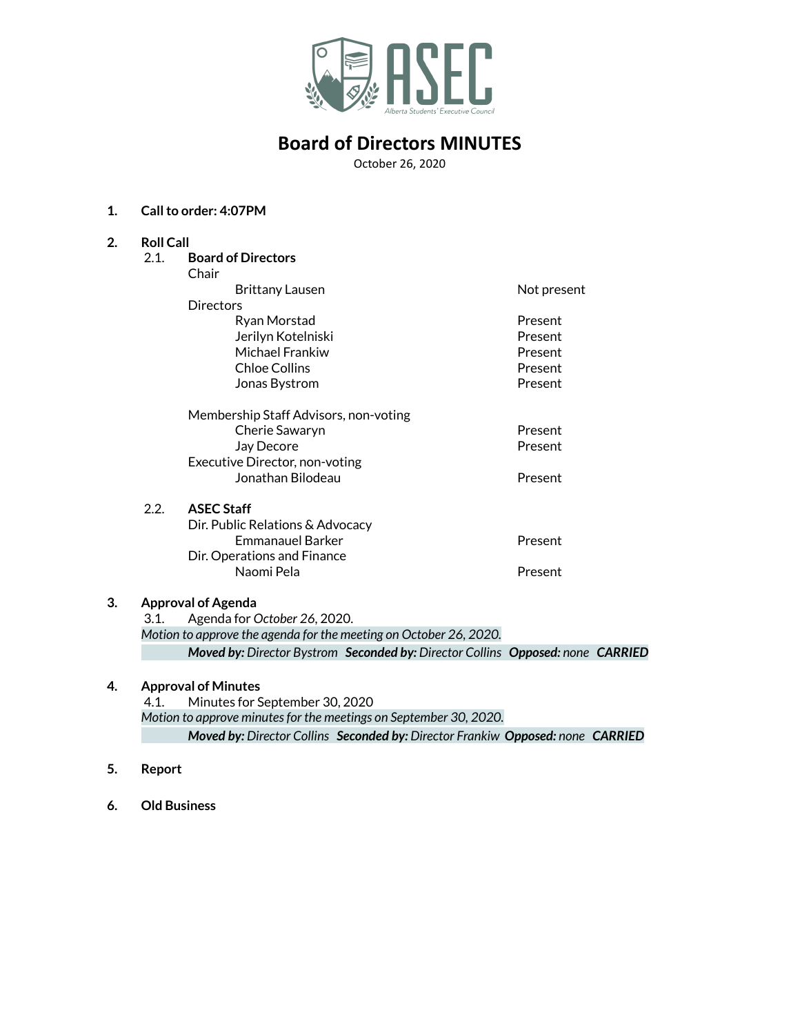

# **Board of Directors MINUTES**

October 26, 2020

#### **1. Callto order: 4:07PM**

| 2. | <b>Roll Call</b>          |                                                                                |             |  |
|----|---------------------------|--------------------------------------------------------------------------------|-------------|--|
|    | 2.1.                      | <b>Board of Directors</b>                                                      |             |  |
|    |                           | Chair                                                                          |             |  |
|    |                           | <b>Brittany Lausen</b>                                                         | Not present |  |
|    |                           | Directors                                                                      |             |  |
|    |                           | Ryan Morstad                                                                   | Present     |  |
|    |                           | Jerilyn Kotelniski                                                             | Present     |  |
|    |                           | Michael Frankiw                                                                | Present     |  |
|    |                           | <b>Chloe Collins</b>                                                           | Present     |  |
|    |                           | Jonas Bystrom                                                                  | Present     |  |
|    |                           | Membership Staff Advisors, non-voting                                          |             |  |
|    |                           | Cherie Sawaryn                                                                 | Present     |  |
|    |                           | Jay Decore                                                                     | Present     |  |
|    |                           | Executive Director, non-voting                                                 |             |  |
|    |                           | Jonathan Bilodeau                                                              | Present     |  |
|    | 2.2.                      | <b>ASEC Staff</b>                                                              |             |  |
|    |                           | Dir. Public Relations & Advocacy                                               |             |  |
|    |                           | <b>Fmmanauel Barker</b>                                                        | Present     |  |
|    |                           | Dir. Operations and Finance                                                    |             |  |
|    |                           | Naomi Pela                                                                     | Present     |  |
| 3. | <b>Approval of Agenda</b> |                                                                                |             |  |
|    | 3.1.                      | Agenda for October 26, 2020.                                                   |             |  |
|    |                           | Motion to approve the agenda for the meeting on October 26, 2020.              |             |  |
|    |                           | Moved by: Director Bystrom Seconded by: Director Collins Opposed: none CARRIED |             |  |

## **4. Approval of Minutes**

4.1. Minutes for September 30, 2020 *Motion to approve minutesfor the meetings on September 30, 2020. Moved by: Director Collins Seconded by: Director Frankiw Opposed: none CARRIED*

- **5. Report**
- **6. Old Business**